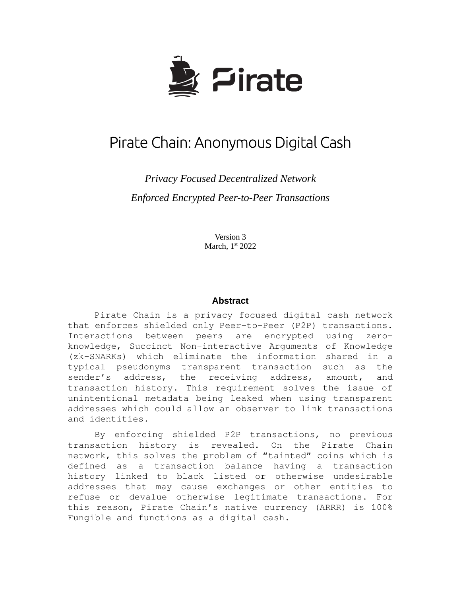

# Pirate Chain: Anonymous Digital Cash

*Privacy Focused Decentralized Network Enforced Encrypted Peer-to-Peer Transactions*

> Version 3 March, 1st 2022

#### **Abstract**

Pirate Chain is a privacy focused digital cash network that enforces shielded only Peer-to-Peer (P2P) transactions. Interactions between peers are encrypted using zeroknowledge, Succinct Non-interactive Arguments of Knowledge (zk-SNARKs) which eliminate the information shared in a typical pseudonyms transparent transaction such as the sender's address, the receiving address, amount, and transaction history. This requirement solves the issue of unintentional metadata being leaked when using transparent addresses which could allow an observer to link transactions and identities.

By enforcing shielded P2P transactions, no previous transaction history is revealed. On the Pirate Chain network, this solves the problem of "tainted" coins which is defined as a transaction balance having a transaction history linked to black listed or otherwise undesirable addresses that may cause exchanges or other entities to refuse or devalue otherwise legitimate transactions. For this reason, Pirate Chain's native currency (ARRR) is 100% Fungible and functions as a digital cash.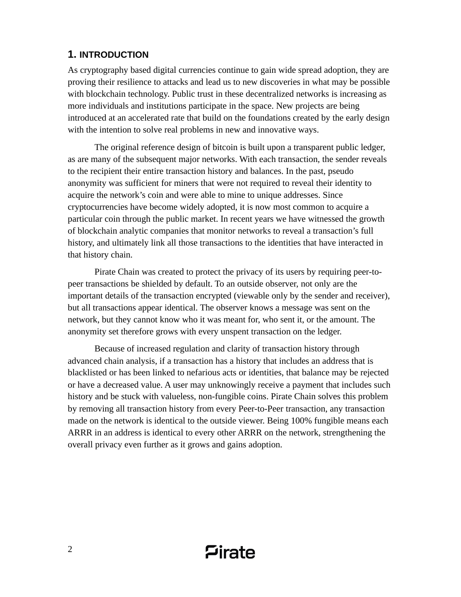# **1. INTRODUCTION**

As cryptography based digital currencies continue to gain wide spread adoption, they are proving their resilience to attacks and lead us to new discoveries in what may be possible with blockchain technology. Public trust in these decentralized networks is increasing as more individuals and institutions participate in the space. New projects are being introduced at an accelerated rate that build on the foundations created by the early design with the intention to solve real problems in new and innovative ways.

The original reference design of bitcoin is built upon a transparent public ledger, as are many of the subsequent major networks. With each transaction, the sender reveals to the recipient their entire transaction history and balances. In the past, pseudo anonymity was sufficient for miners that were not required to reveal their identity to acquire the network's coin and were able to mine to unique addresses. Since cryptocurrencies have become widely adopted, it is now most common to acquire a particular coin through the public market. In recent years we have witnessed the growth of blockchain analytic companies that monitor networks to reveal a transaction's full history, and ultimately link all those transactions to the identities that have interacted in that history chain.

Pirate Chain was created to protect the privacy of its users by requiring peer-topeer transactions be shielded by default. To an outside observer, not only are the important details of the transaction encrypted (viewable only by the sender and receiver), but all transactions appear identical. The observer knows a message was sent on the network, but they cannot know who it was meant for, who sent it, or the amount. The anonymity set therefore grows with every unspent transaction on the ledger.

Because of increased regulation and clarity of transaction history through advanced chain analysis, if a transaction has a history that includes an address that is blacklisted or has been linked to nefarious acts or identities, that balance may be rejected or have a decreased value. A user may unknowingly receive a payment that includes such history and be stuck with valueless, non-fungible coins. Pirate Chain solves this problem by removing all transaction history from every Peer-to-Peer transaction, any transaction made on the network is identical to the outside viewer. Being 100% fungible means each ARRR in an address is identical to every other ARRR on the network, strengthening the overall privacy even further as it grows and gains adoption.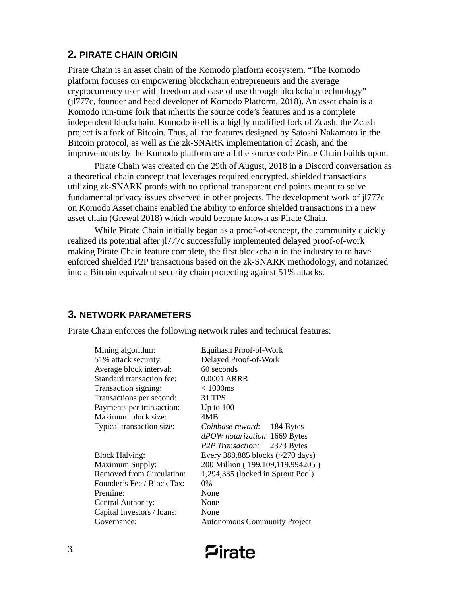# **2. PIRATE CHAIN ORIGIN**

Pirate Chain is an asset chain of the Komodo platform ecosystem. "The Komodo platform focuses on empowering blockchain entrepreneurs and the average cryptocurrency user with freedom and ease of use through blockchain technology" (jl777c, founder and head developer of Komodo Platform, 2018). An asset chain is a Komodo run-time fork that inherits the source code's features and is a complete independent blockchain. Komodo itself is a highly modified fork of Zcash. the Zcash project is a fork of Bitcoin. Thus, all the features designed by Satoshi Nakamoto in the Bitcoin protocol, as well as the zk-SNARK implementation of Zcash, and the improvements by the Komodo platform are all the source code Pirate Chain builds upon.

Pirate Chain was created on the 29th of August, 2018 in a Discord conversation as a theoretical chain concept that leverages required encrypted, shielded transactions utilizing zk-SNARK proofs with no optional transparent end points meant to solve fundamental privacy issues observed in other projects. The development work of jl777c on Komodo Asset chains enabled the ability to enforce shielded transactions in a new asset chain (Grewal 2018) which would become known as Pirate Chain.

While Pirate Chain initially began as a proof-of-concept, the community quickly realized its potential after jl777c successfully implemented delayed proof-of-work making Pirate Chain feature complete, the first blockchain in the industry to to have enforced shielded P2P transactions based on the zk-SNARK methodology, and notarized into a Bitcoin equivalent security chain protecting against 51% attacks.

# **3. NETWORK PARAMETERS**

Pirate Chain enforces the following network rules and technical features:

| Mining algorithm:          | Equihash Proof-of-Work                 |
|----------------------------|----------------------------------------|
| 51% attack security:       | Delayed Proof-of-Work                  |
| Average block interval:    | 60 seconds                             |
| Standard transaction fee:  | 0.0001 ARRR                            |
| Transaction signing:       | $\leq 1000$ ms                         |
| Transactions per second:   | 31 TPS                                 |
| Payments per transaction:  | Up to $100$                            |
| Maximum block size:        | 4MB                                    |
| Typical transaction size:  | Coinbase reward: 184 Bytes             |
|                            | dPOW notarization: 1669 Bytes          |
|                            | P2P Transaction: 2373 Bytes            |
| <b>Block Halving:</b>      | Every 388,885 blocks $(\sim$ 270 days) |
| Maximum Supply:            | 200 Million (199,109,119.994205)       |
| Removed from Circulation:  | 1,294,335 (locked in Sprout Pool)      |
| Founder's Fee / Block Tax: | $0\%$                                  |
| Premine:                   | None                                   |
| Central Authority:         | None                                   |
| Capital Investors / loans: | None                                   |
| Governance:                | <b>Autonomous Community Project</b>    |
|                            |                                        |

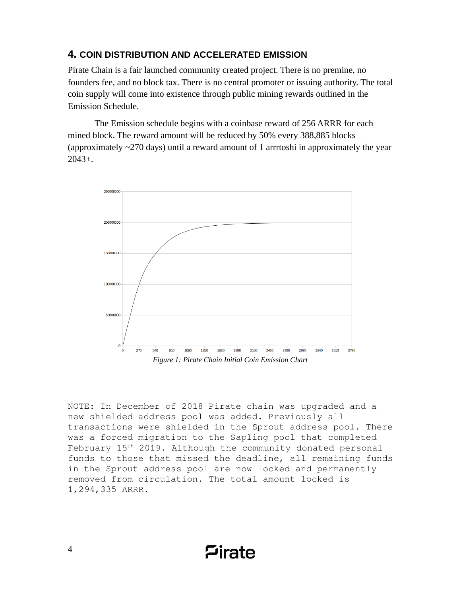## **4. COIN DISTRIBUTION AND ACCELERATED EMISSION**

Pirate Chain is a fair launched community created project. There is no premine, no founders fee, and no block tax. There is no central promoter or issuing authority. The total coin supply will come into existence through public mining rewards outlined in the Emission Schedule.

The Emission schedule begins with a coinbase reward of 256 ARRR for each mined block. The reward amount will be reduced by 50% every 388,885 blocks (approximately  $\sim$ 270 days) until a reward amount of 1 arrrtoshi in approximately the year 2043+.



NOTE: In December of 2018 Pirate chain was upgraded and a new shielded address pool was added. Previously all transactions were shielded in the Sprout address pool. There was a forced migration to the Sapling pool that completed February 15th 2019. Although the community donated personal funds to those that missed the deadline, all remaining funds in the Sprout address pool are now locked and permanently removed from circulation. The total amount locked is 1,294,335 ARRR.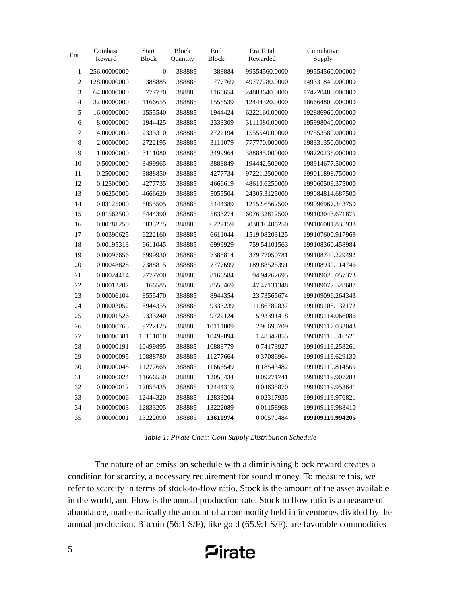| Era            | Coinbase<br>Reward | <b>Start</b><br><b>Block</b> | <b>Block</b><br>Quantity | End<br><b>Block</b> | Era Total<br>Rewarded | Cumulative<br>Supply |
|----------------|--------------------|------------------------------|--------------------------|---------------------|-----------------------|----------------------|
| $\mathbf{1}$   | 256.00000000       | $\mathbf{0}$                 | 388885                   | 388884              | 99554560.0000         | 99554560.000000      |
| $\overline{2}$ | 128.00000000       | 388885                       | 388885                   | 777769              | 49777280.0000         | 149331840.000000     |
| 3              | 64.00000000        | 777770                       | 388885                   | 1166654             | 24888640.0000         | 174220480.000000     |
| 4              | 32.00000000        | 1166655                      | 388885                   | 1555539             | 12444320.0000         | 186664800.000000     |
| 5              | 16.00000000        | 1555540                      | 388885                   | 1944424             | 6222160.00000         | 192886960.000000     |
| 6              | 8.00000000         | 1944425                      | 388885                   | 2333309             | 3111080.00000         | 195998040.000000     |
| $\overline{7}$ | 4.00000000         | 2333310                      | 388885                   | 2722194             | 1555540.00000         | 197553580.000000     |
| 8              | 2.00000000         | 2722195                      | 388885                   | 3111079             | 777770.000000         | 198331350.000000     |
| 9              | 1.00000000         | 3111080                      | 388885                   | 3499964             | 388885.000000         | 198720235.000000     |
| 10             | 0.50000000         | 3499965                      | 388885                   | 3888849             | 194442.500000         | 198914677.500000     |
| 11             | 0.25000000         | 3888850                      | 388885                   | 4277734             | 97221.2500000         | 199011898.750000     |
| 12             | 0.12500000         | 4277735                      | 388885                   | 4666619             | 48610.6250000         | 199060509.375000     |
| 13             | 0.06250000         | 4666620                      | 388885                   | 5055504             | 24305.3125000         | 199084814.687500     |
| 14             | 0.03125000         | 5055505                      | 388885                   | 5444389             | 12152.6562500         | 199096967.343750     |
| 15             | 0.01562500         | 5444390                      | 388885                   | 5833274             | 6076.32812500         | 199103043.671875     |
| 16             | 0.00781250         | 5833275                      | 388885                   | 6222159             | 3038.16406250         | 199106081.835938     |
| 17             | 0.00390625         | 6222160                      | 388885                   | 6611044             | 1519.08203125         | 199107600.917969     |
| 18             | 0.00195313         | 6611045                      | 388885                   | 6999929             | 759.54101563          | 199108360.458984     |
| 19             | 0.00097656         | 6999930                      | 388885                   | 7388814             | 379.77050781          | 199108740.229492     |
| 20             | 0.00048828         | 7388815                      | 388885                   | 7777699             | 189.88525391          | 199108930.114746     |
| 21             | 0.00024414         | 7777700                      | 388885                   | 8166584             | 94.94262695           | 199109025.057373     |
| 22             | 0.00012207         | 8166585                      | 388885                   | 8555469             | 47.47131348           | 199109072.528687     |
| 23             | 0.00006104         | 8555470                      | 388885                   | 8944354             | 23.73565674           | 199109096.264343     |
| 24             | 0.00003052         | 8944355                      | 388885                   | 9333239             | 11.86782837           | 199109108.132172     |
| 25             | 0.00001526         | 9333240                      | 388885                   | 9722124             | 5.93391418            | 199109114.066086     |
| 26             | 0.00000763         | 9722125                      | 388885                   | 10111009            | 2.96695709            | 199109117.033043     |
| 27             | 0.00000381         | 10111010                     | 388885                   | 10499894            | 1.48347855            | 199109118.516521     |
| 28             | 0.00000191         | 10499895                     | 388885                   | 10888779            | 0.74173927            | 199109119.258261     |
| 29             | 0.00000095         | 10888780                     | 388885                   | 11277664            | 0.37086964            | 199109119.629130     |
| 30             | 0.00000048         | 11277665                     | 388885                   | 11666549            | 0.18543482            | 199109119.814565     |
| 31             | 0.00000024         | 11666550                     | 388885                   | 12055434            | 0.09271741            | 199109119.907283     |
| 32             | 0.00000012         | 12055435                     | 388885                   | 12444319            | 0.04635870            | 199109119.953641     |
| 33             | 0.00000006         | 12444320                     | 388885                   | 12833204            | 0.02317935            | 199109119.976821     |
| 34             | 0.00000003         | 12833205                     | 388885                   | 13222089            | 0.01158968            | 199109119.988410     |
| 35             | 0.00000001         | 13222090                     | 388885                   | 13610974            | 0.00579484            | 199109119.994205     |

*Table 1: Pirate Chain Coin Supply Distribution Schedule*

The nature of an emission schedule with a diminishing block reward creates a condition for scarcity, a necessary requirement for sound money. To measure this, we refer to scarcity in terms of stock-to-flow ratio. Stock is the amount of the asset available in the world, and Flow is the annual production rate. Stock to flow ratio is a measure of abundance, mathematically the amount of a commodity held in inventories divided by the annual production. Bitcoin (56:1 S/F), like gold (65.9:1 S/F), are favorable commodities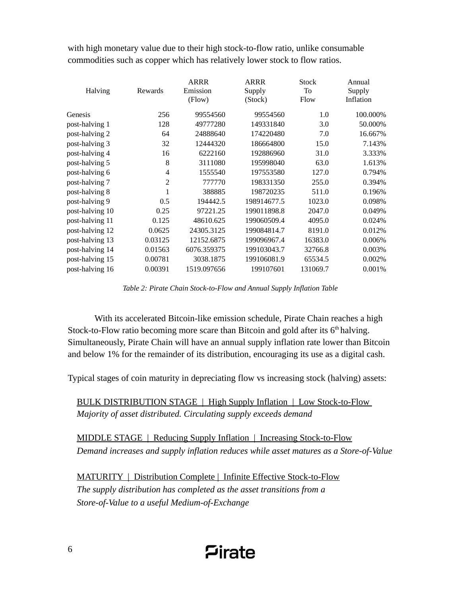with high monetary value due to their high stock-to-flow ratio, unlike consumable commodities such as copper which has relatively lower stock to flow ratios.

| Halving         | Rewards | ARRR<br>Emission<br>(Flow) | <b>ARRR</b><br>Supply<br>(Stock) | <b>Stock</b><br>To<br>Flow | Annual<br>Supply<br>Inflation |
|-----------------|---------|----------------------------|----------------------------------|----------------------------|-------------------------------|
| Genesis         | 256     | 99554560                   | 99554560                         | $1.0\,$                    | 100.000%                      |
| post-halving 1  | 128     | 49777280                   | 149331840                        | 3.0                        | 50.000%                       |
| post-halving 2  | 64      | 24888640                   | 174220480                        | 7.0                        | 16.667%                       |
| post-halving 3  | 32      | 12444320                   | 186664800                        | 15.0                       | 7.143%                        |
| post-halving 4  | 16      | 6222160                    | 192886960                        | 31.0                       | 3.333%                        |
| post-halving 5  | 8       | 3111080                    | 195998040                        | 63.0                       | 1.613%                        |
| post-halving 6  | 4       | 1555540                    | 197553580                        | 127.0                      | 0.794%                        |
| post-halving 7  | 2       | 777770                     | 198331350                        | 255.0                      | 0.394%                        |
| post-halving 8  | 1       | 388885                     | 198720235                        | 511.0                      | 0.196%                        |
| post-halving 9  | 0.5     | 194442.5                   | 198914677.5                      | 1023.0                     | 0.098%                        |
| post-halving 10 | 0.25    | 97221.25                   | 199011898.8                      | 2047.0                     | 0.049%                        |
| post-halving 11 | 0.125   | 48610.625                  | 199060509.4                      | 4095.0                     | 0.024%                        |
| post-halving 12 | 0.0625  | 24305.3125                 | 199084814.7                      | 8191.0                     | 0.012%                        |
| post-halving 13 | 0.03125 | 12152.6875                 | 199096967.4                      | 16383.0                    | 0.006%                        |
| post-halving 14 | 0.01563 | 6076.359375                | 199103043.7                      | 32766.8                    | 0.003%                        |
| post-halving 15 | 0.00781 | 3038.1875                  | 199106081.9                      | 65534.5                    | 0.002%                        |
| post-halving 16 | 0.00391 | 1519.097656                | 199107601                        | 131069.7                   | 0.001%                        |

*Table 2: Pirate Chain Stock-to-Flow and Annual Supply Inflation Table*

With its accelerated Bitcoin-like emission schedule, Pirate Chain reaches a high Stock-to-Flow ratio becoming more scare than Bitcoin and gold after its  $6<sup>th</sup>$  halving. Simultaneously, Pirate Chain will have an annual supply inflation rate lower than Bitcoin and below 1% for the remainder of its distribution, encouraging its use as a digital cash.

Typical stages of coin maturity in depreciating flow vs increasing stock (halving) assets:

BULK DISTRIBUTION STAGE | High Supply Inflation | Low Stock-to-Flow *Majority of asset distributed. Circulating supply exceeds demand*

 MIDDLE STAGE | Reducing Supply Inflation | Increasing Stock-to-Flow *Demand increases and supply inflation reduces while asset matures as a Store-of-Value*

MATURITY | Distribution Complete | Infinite Effective Stock-to-Flow *The supply distribution has completed as the asset transitions from a Store-of-Value to a useful Medium-of-Exchange*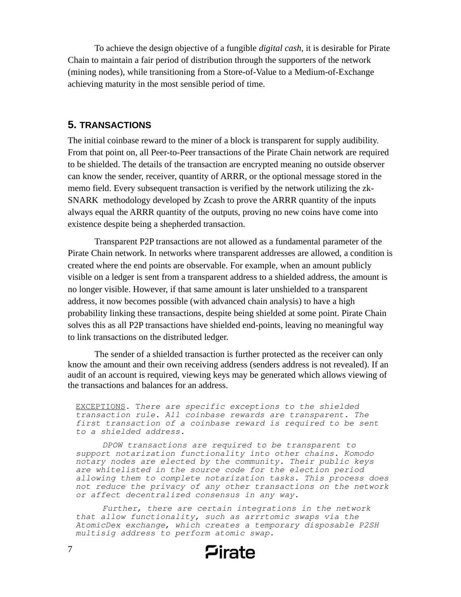To achieve the design objective of a fungible *digital cash*, it is desirable for Pirate Chain to maintain a fair period of distribution through the supporters of the network (mining nodes), while transitioning from a Store-of-Value to a Medium-of-Exchange achieving maturity in the most sensible period of time.

#### **5. TRANSACTIONS**

The initial coinbase reward to the miner of a block is transparent for supply audibility. From that point on, all Peer-to-Peer transactions of the Pirate Chain network are required to be shielded. The details of the transaction are encrypted meaning no outside observer can know the sender, receiver, quantity of ARRR, or the optional message stored in the memo field. Every subsequent transaction is verified by the network utilizing the zk-SNARK methodology developed by Zcash to prove the ARRR quantity of the inputs always equal the ARRR quantity of the outputs, proving no new coins have come into existence despite being a shepherded transaction.

Transparent P2P transactions are not allowed as a fundamental parameter of the Pirate Chain network. In networks where transparent addresses are allowed, a condition is created where the end points are observable. For example, when an amount publicly visible on a ledger is sent from a transparent address to a shielded address, the amount is no longer visible. However, if that same amount is later unshielded to a transparent address, it now becomes possible (with advanced chain analysis) to have a high probability linking these transactions, despite being shielded at some point. Pirate Chain solves this as all P2P transactions have shielded end-points, leaving no meaningful way to link transactions on the distributed ledger.

The sender of a shielded transaction is further protected as the receiver can only know the amount and their own receiving address (senders address is not revealed). If an audit of an account is required, viewing keys may be generated which allows viewing of the transactions and balances for an address.

EXCEPTIONS. T*here are specific exceptions to the shielded transaction rule. All coinbase rewards are transparent. The first transaction of a coinbase reward is required to be sent to a shielded address.* 

*DPOW transactions are required to be transparent to support notarization functionality into other chains. Komodo notary nodes are elected by the community. Their public keys are whitelisted in the source code for the election period allowing them to complete notarization tasks. This process does not reduce the privacy of any other transactions on the network or affect decentralized consensus in any way.*

*Further, there are certain integrations in the network that allow functionality, such as arrrtomic swaps via the AtomicDex exchange, which creates a temporary disposable P2SH multisig address to perform atomic swap.*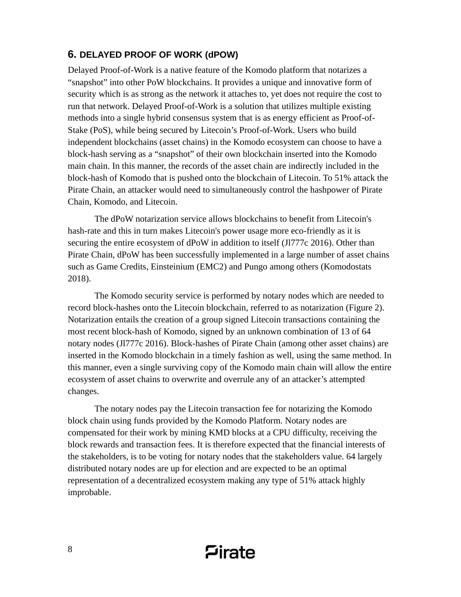# **6. DELAYED PROOF OF WORK (dPOW)**

Delayed Proof-of-Work is a native feature of the Komodo platform that notarizes a "snapshot" into other PoW blockchains. It provides a unique and innovative form of security which is as strong as the network it attaches to, yet does not require the cost to run that network. Delayed Proof-of-Work is a solution that utilizes multiple existing methods into a single hybrid consensus system that is as energy efficient as Proof-of-Stake (PoS), while being secured by Litecoin's Proof-of-Work. Users who build independent blockchains (asset chains) in the Komodo ecosystem can choose to have a block-hash serving as a "snapshot" of their own blockchain inserted into the Komodo main chain. In this manner, the records of the asset chain are indirectly included in the block-hash of Komodo that is pushed onto the blockchain of Litecoin. To 51% attack the Pirate Chain, an attacker would need to simultaneously control the hashpower of Pirate Chain, Komodo, and Litecoin.

The dPoW notarization service allows blockchains to benefit from Litecoin's hash-rate and this in turn makes Litecoin's power usage more eco-friendly as it is securing the entire ecosystem of dPoW in addition to itself (Jl777c 2016). Other than Pirate Chain, dPoW has been successfully implemented in a large number of asset chains such as Game Credits, Einsteinium (EMC2) and Pungo among others (Komodostats 2018).

The Komodo security service is performed by notary nodes which are needed to record block-hashes onto the Litecoin blockchain, referred to as notarization (Figure 2). Notarization entails the creation of a group signed Litecoin transactions containing the most recent block-hash of Komodo, signed by an unknown combination of 13 of 64 notary nodes (Jl777c 2016). Block-hashes of Pirate Chain (among other asset chains) are inserted in the Komodo blockchain in a timely fashion as well, using the same method. In this manner, even a single surviving copy of the Komodo main chain will allow the entire ecosystem of asset chains to overwrite and overrule any of an attacker's attempted changes.

The notary nodes pay the Litecoin transaction fee for notarizing the Komodo block chain using funds provided by the Komodo Platform. Notary nodes are compensated for their work by mining KMD blocks at a CPU difficulty, receiving the block rewards and transaction fees. It is therefore expected that the financial interests of the stakeholders, is to be voting for notary nodes that the stakeholders value. 64 largely distributed notary nodes are up for election and are expected to be an optimal representation of a decentralized ecosystem making any type of 51% attack highly improbable.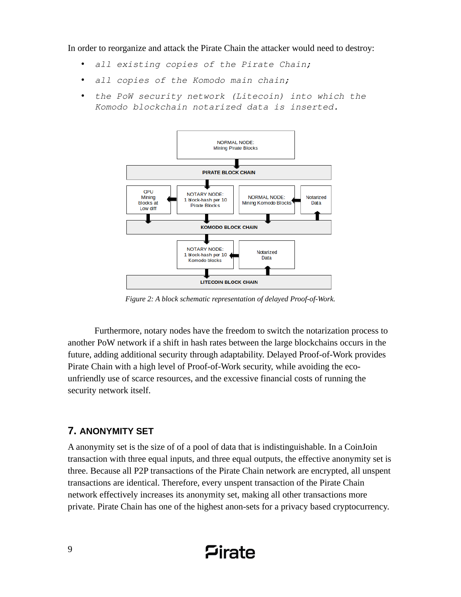In order to reorganize and attack the Pirate Chain the attacker would need to destroy:

- *all existing copies of the Pirate Chain;*
- *all copies of the Komodo main chain;*
- *the PoW security network (Litecoin) into which the Komodo blockchain notarized data is inserted.*



*Figure 2: A block schematic representation of delayed Proof-of-Work.*

Furthermore, notary nodes have the freedom to switch the notarization process to another PoW network if a shift in hash rates between the large blockchains occurs in the future, adding additional security through adaptability. Delayed Proof-of-Work provides Pirate Chain with a high level of Proof-of-Work security, while avoiding the ecounfriendly use of scarce resources, and the excessive financial costs of running the security network itself.

# **7. ANONYMITY SET**

A anonymity set is the size of of a pool of data that is indistinguishable. In a CoinJoin transaction with three equal inputs, and three equal outputs, the effective anonymity set is three. Because all P2P transactions of the Pirate Chain network are encrypted, all unspent transactions are identical. Therefore, every unspent transaction of the Pirate Chain network effectively increases its anonymity set, making all other transactions more private. Pirate Chain has one of the highest anon-sets for a privacy based cryptocurrency.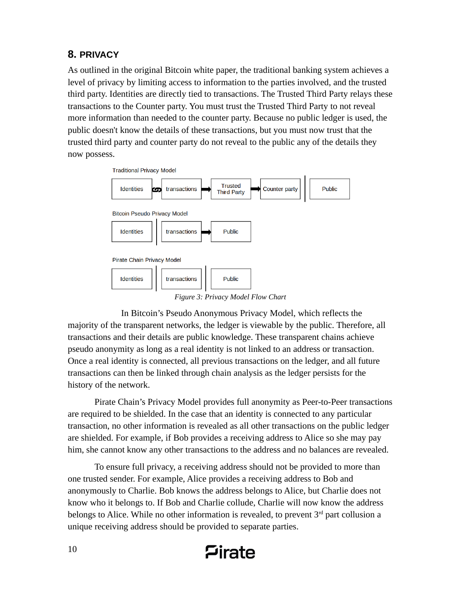# **8. PRIVACY**

As outlined in the original Bitcoin white paper, the traditional banking system achieves a level of privacy by limiting access to information to the parties involved, and the trusted third party. Identities are directly tied to transactions. The Trusted Third Party relays these transactions to the Counter party. You must trust the Trusted Third Party to not reveal more information than needed to the counter party. Because no public ledger is used, the public doesn't know the details of these transactions, but you must now trust that the trusted third party and counter party do not reveal to the public any of the details they now possess.



In Bitcoin's Pseudo Anonymous Privacy Model, which reflects the majority of the transparent networks, the ledger is viewable by the public. Therefore, all transactions and their details are public knowledge. These transparent chains achieve pseudo anonymity as long as a real identity is not linked to an address or transaction. Once a real identity is connected, all previous transactions on the ledger, and all future transactions can then be linked through chain analysis as the ledger persists for the history of the network.

Pirate Chain's Privacy Model provides full anonymity as Peer-to-Peer transactions are required to be shielded. In the case that an identity is connected to any particular transaction, no other information is revealed as all other transactions on the public ledger are shielded. For example, if Bob provides a receiving address to Alice so she may pay him, she cannot know any other transactions to the address and no balances are revealed.

To ensure full privacy, a receiving address should not be provided to more than one trusted sender. For example, Alice provides a receiving address to Bob and anonymously to Charlie. Bob knows the address belongs to Alice, but Charlie does not know who it belongs to. If Bob and Charlie collude, Charlie will now know the address belongs to Alice. While no other information is revealed, to prevent  $3<sup>rd</sup>$  part collusion a unique receiving address should be provided to separate parties.